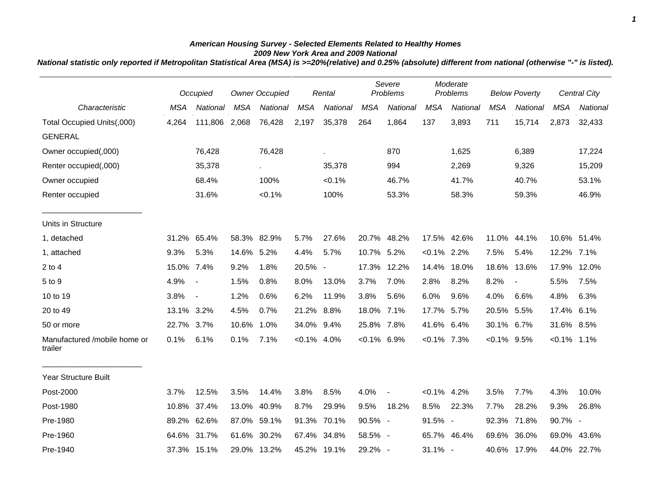## *American Housing Survey - Selected Elements Related to Healthy Homes 2009 New York Area and 2009 National*

*National statistic only reported if Metropolitan Statistical Area (MSA) is >=20%(relative) and 0.25% (absolute) different from national (otherwise "-" is listed).*

|                                         |            | Occupied       |            | <b>Owner Occupied</b> |            | Rental      |                | Severe<br>Problems |                | Moderate<br>Problems |            | <b>Below Poverty</b> |                | <b>Central City</b> |
|-----------------------------------------|------------|----------------|------------|-----------------------|------------|-------------|----------------|--------------------|----------------|----------------------|------------|----------------------|----------------|---------------------|
| Characteristic                          | <b>MSA</b> | National       | <b>MSA</b> | National              | <b>MSA</b> | National    | <b>MSA</b>     | National           | <b>MSA</b>     | National             | <b>MSA</b> | National             | <b>MSA</b>     | National            |
| Total Occupied Units(,000)              | 4,264      | 111,806 2,068  |            | 76,428                | 2,197      | 35,378      | 264            | 1,864              | 137            | 3,893                | 711        | 15,714               | 2,873          | 32,433              |
| <b>GENERAL</b>                          |            |                |            |                       |            |             |                |                    |                |                      |            |                      |                |                     |
| Owner occupied(,000)                    |            | 76,428         |            | 76,428                |            | ä,          |                | 870                |                | 1,625                |            | 6,389                |                | 17,224              |
| Renter occupied(,000)                   |            | 35,378         |            |                       |            | 35,378      |                | 994                |                | 2,269                |            | 9,326                |                | 15,209              |
| Owner occupied                          |            | 68.4%          |            | 100%                  |            | $< 0.1\%$   |                | 46.7%              |                | 41.7%                |            | 40.7%                |                | 53.1%               |
| Renter occupied                         |            | 31.6%          |            | $< 0.1\%$             |            | 100%        |                | 53.3%              |                | 58.3%                |            | 59.3%                |                | 46.9%               |
| Units in Structure                      |            |                |            |                       |            |             |                |                    |                |                      |            |                      |                |                     |
| 1, detached                             | 31.2%      | 65.4%          |            | 58.3% 82.9%           | 5.7%       | 27.6%       | 20.7%          | 48.2%              | 17.5%          | 42.6%                |            | 11.0% 44.1%          | 10.6% 51.4%    |                     |
| 1, attached                             | 9.3%       | 5.3%           | 14.6% 5.2% |                       | 4.4%       | 5.7%        | 10.7%          | 5.2%               | $< 0.1\%$ 2.2% |                      | 7.5%       | 5.4%                 | 12.2%          | 7.1%                |
| $2$ to $4$                              | 15.0% 7.4% |                | 9.2%       | 1.8%                  | 20.5% -    |             | 17.3%          | 12.2%              | 14.4%          | 18.0%                | 18.6%      | 13.6%                | 17.9%          | 12.0%               |
| 5 to 9                                  | 4.9%       | $\blacksquare$ | 1.5%       | 0.8%                  | 8.0%       | 13.0%       | 3.7%           | 7.0%               | 2.8%           | 8.2%                 | 8.2%       | $\blacksquare$       | 5.5%           | 7.5%                |
| 10 to 19                                | 3.8%       | $\blacksquare$ | 1.2%       | 0.6%                  | 6.2%       | 11.9%       | 3.8%           | 5.6%               | 6.0%           | 9.6%                 | 4.0%       | 6.6%                 | 4.8%           | 6.3%                |
| 20 to 49                                | 13.1% 3.2% |                | 4.5%       | 0.7%                  | 21.2% 8.8% |             | 18.0% 7.1%     |                    | 17.7% 5.7%     |                      | 20.5% 5.5% |                      | 17.4%          | 6.1%                |
| 50 or more                              | 22.7%      | 3.7%           | 10.6%      | 1.0%                  | 34.0%      | 9.4%        | 25.8% 7.8%     |                    | 41.6% 6.4%     |                      | 30.1% 6.7% |                      | 31.6% 8.5%     |                     |
| Manufactured /mobile home or<br>trailer | 0.1%       | 6.1%           | 0.1%       | 7.1%                  | $< 0.1\%$  | 4.0%        | $< 0.1\%$ 6.9% |                    | $< 0.1\%$ 7.3% |                      | $< 0.1\%$  | 9.5%                 | $< 0.1\%$ 1.1% |                     |
| <b>Year Structure Built</b>             |            |                |            |                       |            |             |                |                    |                |                      |            |                      |                |                     |
| Post-2000                               | 3.7%       | 12.5%          | 3.5%       | 14.4%                 | 3.8%       | 8.5%        | 4.0%           | $\blacksquare$     | $< 0.1\%$ 4.2% |                      | 3.5%       | 7.7%                 | 4.3%           | 10.0%               |
| Post-1980                               | 10.8%      | 37.4%          | 13.0%      | 40.9%                 | 8.7%       | 29.9%       | 9.5%           | 18.2%              | 8.5%           | 22.3%                | 7.7%       | 28.2%                | 9.3%           | 26.8%               |
| Pre-1980                                | 89.2%      | 62.6%          |            | 87.0% 59.1%           |            | 91.3% 70.1% | 90.5% -        |                    | 91.5% -        |                      |            | 92.3% 71.8%          | 90.7% -        |                     |
| Pre-1960                                | 64.6%      | 31.7%          |            | 61.6% 30.2%           | 67.4%      | 34.8%       | 58.5% -        |                    |                | 65.7% 46.4%          | 69.6%      | 36.0%                | 69.0%          | 43.6%               |
| Pre-1940                                |            | 37.3% 15.1%    |            | 29.0% 13.2%           |            | 45.2% 19.1% | 29.2% -        |                    | $31.1\%$ -     |                      |            | 40.6% 17.9%          |                | 44.0% 22.7%         |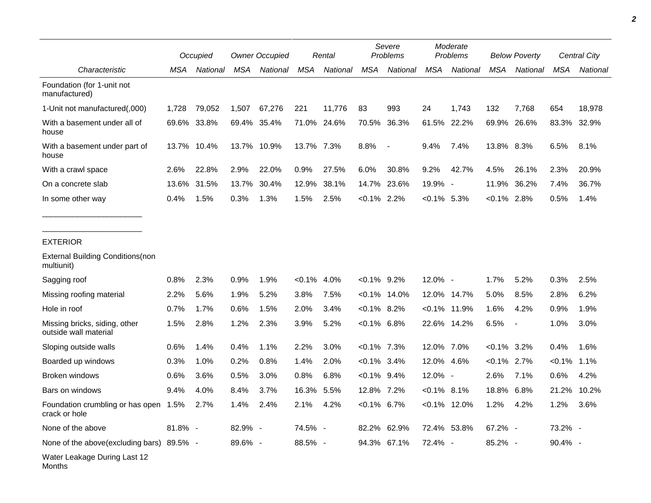|                                                        | Occupied |             | <b>Owner Occupied</b> |             | Rental         |             | Severe<br>Problems |                 | Moderate<br>Problems |                 | <b>Below Poverty</b> |                | Central City |          |
|--------------------------------------------------------|----------|-------------|-----------------------|-------------|----------------|-------------|--------------------|-----------------|----------------------|-----------------|----------------------|----------------|--------------|----------|
| Characteristic                                         | MSA      | National    | <b>MSA</b>            | National    | <b>MSA</b>     | National    | <b>MSA</b>         | National        | <b>MSA</b>           | National        | <b>MSA</b>           | National       | <b>MSA</b>   | National |
| Foundation (for 1-unit not<br>manufactured)            |          |             |                       |             |                |             |                    |                 |                      |                 |                      |                |              |          |
| 1-Unit not manufactured(,000)                          | 1,728    | 79,052      | 1,507                 | 67,276      | 221            | 11,776      | 83                 | 993             | 24                   | 1,743           | 132                  | 7,768          | 654          | 18,978   |
| With a basement under all of<br>house                  |          | 69.6% 33.8% |                       | 69.4% 35.4% |                | 71.0% 24.6% | 70.5%              | 36.3%           |                      | 61.5% 22.2%     | 69.9%                | 26.6%          | 83.3%        | 32.9%    |
| With a basement under part of<br>house                 | 13.7%    | 10.4%       |                       | 13.7% 10.9% | 13.7% 7.3%     |             | 8.8%               | $\sim$          | 9.4%                 | 7.4%            | 13.8% 8.3%           |                | 6.5%         | 8.1%     |
| With a crawl space                                     | 2.6%     | 22.8%       | 2.9%                  | 22.0%       | 0.9%           | 27.5%       | 6.0%               | 30.8%           | 9.2%                 | 42.7%           | 4.5%                 | 26.1%          | 2.3%         | 20.9%    |
| On a concrete slab                                     | 13.6%    | 31.5%       | 13.7%                 | 30.4%       | 12.9%          | 38.1%       | 14.7%              | 23.6%           | 19.9% -              |                 | 11.9%                | 36.2%          | 7.4%         | 36.7%    |
| In some other way                                      | 0.4%     | 1.5%        | 0.3%                  | 1.3%        | 1.5%           | 2.5%        | $< 0.1\%$ 2.2%     |                 | $< 0.1\%$ 5.3%       |                 | $< 0.1\%$            | 2.8%           | 0.5%         | 1.4%     |
| <b>EXTERIOR</b>                                        |          |             |                       |             |                |             |                    |                 |                      |                 |                      |                |              |          |
| <b>External Building Conditions (non</b><br>multiunit) |          |             |                       |             |                |             |                    |                 |                      |                 |                      |                |              |          |
| Sagging roof                                           | 0.8%     | 2.3%        | 0.9%                  | 1.9%        | $< 0.1\%$ 4.0% |             | $< 0.1\%$ 9.2%     |                 | 12.0% -              |                 | 1.7%                 | 5.2%           | 0.3%         | 2.5%     |
| Missing roofing material                               | 2.2%     | 5.6%        | 1.9%                  | 5.2%        | 3.8%           | 7.5%        |                    | $< 0.1\%$ 14.0% | 12.0%                | 14.7%           | 5.0%                 | 8.5%           | 2.8%         | 6.2%     |
| Hole in roof                                           | 0.7%     | 1.7%        | 0.6%                  | 1.5%        | 2.0%           | 3.4%        | $< 0.1\%$ 8.2%     |                 | $< 0.1\%$            | 11.9%           | 1.6%                 | 4.2%           | 0.9%         | 1.9%     |
| Missing bricks, siding, other<br>outside wall material | 1.5%     | 2.8%        | 1.2%                  | 2.3%        | 3.9%           | 5.2%        | $< 0.1\%$ 6.8%     |                 | 22.6%                | 14.2%           | 6.5%                 | $\blacksquare$ | 1.0%         | 3.0%     |
| Sloping outside walls                                  | 0.6%     | 1.4%        | 0.4%                  | 1.1%        | 2.2%           | 3.0%        | $< 0.1\%$ 7.3%     |                 | 12.0%                | 7.0%            | $< 0.1\%$            | 3.2%           | 0.4%         | 1.6%     |
| Boarded up windows                                     | 0.3%     | 1.0%        | 0.2%                  | 0.8%        | 1.4%           | 2.0%        | $< 0.1\%$ 3.4%     |                 | 12.0%                | 4.6%            | $< 0.1\%$            | 2.7%           | $< 0.1\%$    | 1.1%     |
| Broken windows                                         | 0.6%     | 3.6%        | 0.5%                  | 3.0%        | 0.8%           | 6.8%        | $< 0.1\%$ 9.4%     |                 | 12.0% -              |                 | 2.6%                 | 7.1%           | 0.6%         | 4.2%     |
| Bars on windows                                        | 9.4%     | 4.0%        | 8.4%                  | 3.7%        | 16.3%          | 5.5%        | 12.8% 7.2%         |                 | $< 0.1\%$ 8.1%       |                 | 18.8%                | 6.8%           | 21.2%        | 10.2%    |
| Foundation crumbling or has open 1.5%<br>crack or hole |          | 2.7%        | 1.4%                  | 2.4%        | 2.1%           | 4.2%        | $< 0.1\%$ 6.7%     |                 |                      | $< 0.1\%$ 12.0% | 1.2%                 | 4.2%           | 1.2%         | 3.6%     |
| None of the above                                      | 81.8% -  |             | 82.9% -               |             | 74.5% -        |             |                    | 82.2% 62.9%     |                      | 72.4% 53.8%     | 67.2% -              |                | 73.2% -      |          |
| None of the above(excluding bars) 89.5% -              |          |             | 89.6% -               |             | 88.5% -        |             |                    | 94.3% 67.1%     | 72.4% -              |                 | 85.2% -              |                | 90.4% -      |          |
| Water Leakage During Last 12<br>Months                 |          |             |                       |             |                |             |                    |                 |                      |                 |                      |                |              |          |

*2*

٠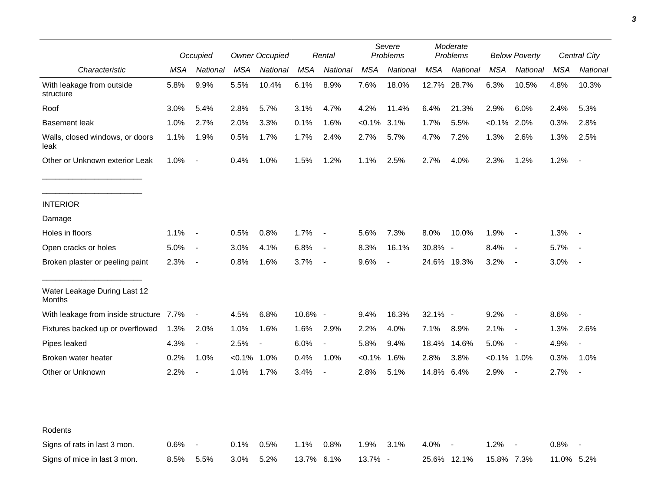|                                         |      | Occupied                 |            | <b>Owner Occupied</b> |            | Rental                   |            | Severe<br>Problems |             | Moderate<br>Problems |                | <b>Below Poverty</b>     |            | Central City             |
|-----------------------------------------|------|--------------------------|------------|-----------------------|------------|--------------------------|------------|--------------------|-------------|----------------------|----------------|--------------------------|------------|--------------------------|
| Characteristic                          | MSA  | National                 | <b>MSA</b> | National              | <b>MSA</b> | National                 | <b>MSA</b> | National           | <b>MSA</b>  | National             | <b>MSA</b>     | National                 | <b>MSA</b> | National                 |
| With leakage from outside<br>structure  | 5.8% | 9.9%                     | 5.5%       | 10.4%                 | 6.1%       | 8.9%                     | 7.6%       | 18.0%              | 12.7%       | 28.7%                | 6.3%           | 10.5%                    | 4.8%       | 10.3%                    |
| Roof                                    | 3.0% | 5.4%                     | 2.8%       | 5.7%                  | 3.1%       | 4.7%                     | 4.2%       | 11.4%              | 6.4%        | 21.3%                | 2.9%           | 6.0%                     | 2.4%       | 5.3%                     |
| <b>Basement leak</b>                    | 1.0% | 2.7%                     | 2.0%       | 3.3%                  | 0.1%       | 1.6%                     | $< 0.1\%$  | 3.1%               | 1.7%        | 5.5%                 | $< 0.1\%$      | 2.0%                     | 0.3%       | 2.8%                     |
| Walls, closed windows, or doors<br>leak | 1.1% | 1.9%                     | 0.5%       | 1.7%                  | 1.7%       | 2.4%                     | 2.7%       | 5.7%               | 4.7%        | 7.2%                 | 1.3%           | 2.6%                     | 1.3%       | 2.5%                     |
| Other or Unknown exterior Leak          | 1.0% | $\blacksquare$           | 0.4%       | 1.0%                  | 1.5%       | 1.2%                     | 1.1%       | 2.5%               | 2.7%        | 4.0%                 | 2.3%           | 1.2%                     | 1.2%       |                          |
| <b>INTERIOR</b>                         |      |                          |            |                       |            |                          |            |                    |             |                      |                |                          |            |                          |
| Damage                                  |      |                          |            |                       |            |                          |            |                    |             |                      |                |                          |            |                          |
| Holes in floors                         | 1.1% | $\sim$                   | 0.5%       | 0.8%                  | 1.7%       | $\blacksquare$           | 5.6%       | 7.3%               | 8.0%        | 10.0%                | 1.9%           | $\sim$                   | 1.3%       |                          |
| Open cracks or holes                    | 5.0% | $\sim$                   | 3.0%       | 4.1%                  | 6.8%       | $\overline{\phantom{a}}$ | 8.3%       | 16.1%              | 30.8% -     |                      | 8.4%           | $\sim$                   | 5.7%       |                          |
| Broken plaster or peeling paint         | 2.3% | $\sim$                   | 0.8%       | 1.6%                  | 3.7%       | $\overline{\phantom{a}}$ | 9.6%       |                    |             | 24.6% 19.3%          | 3.2%           | $\sim$                   | 3.0%       |                          |
| Water Leakage During Last 12<br>Months  |      |                          |            |                       |            |                          |            |                    |             |                      |                |                          |            |                          |
| With leakage from inside structure 7.7% |      | $\overline{\phantom{a}}$ | 4.5%       | 6.8%                  | 10.6% -    |                          | 9.4%       | 16.3%              | 32.1% -     |                      | 9.2%           | $\sim$                   | 8.6%       | $\blacksquare$           |
| Fixtures backed up or overflowed        | 1.3% | 2.0%                     | 1.0%       | 1.6%                  | 1.6%       | 2.9%                     | 2.2%       | 4.0%               | 7.1%        | 8.9%                 | 2.1%           | $\sim$                   | 1.3%       | 2.6%                     |
| Pipes leaked                            | 4.3% | $\overline{\phantom{a}}$ | 2.5%       |                       | 6.0%       | $\overline{\phantom{a}}$ | 5.8%       | 9.4%               | 18.4%       | 14.6%                | 5.0%           | $\overline{\phantom{a}}$ | 4.9%       |                          |
| Broken water heater                     | 0.2% | 1.0%                     | $< 0.1\%$  | 1.0%                  | 0.4%       | 1.0%                     | $< 0.1\%$  | 1.6%               | 2.8%        | 3.8%                 | $< 0.1\%$ 1.0% |                          | 0.3%       | 1.0%                     |
| Other or Unknown                        | 2.2% | $\overline{\phantom{a}}$ | 1.0%       | 1.7%                  | 3.4%       | $\overline{\phantom{a}}$ | 2.8%       | 5.1%               | 14.8%       | 6.4%                 | 2.9%           | $\overline{\phantom{a}}$ | 2.7%       | $\overline{\phantom{a}}$ |
| Rodents                                 |      |                          |            |                       |            |                          |            |                    |             |                      |                |                          |            |                          |
| Signs of rats in last 3 mon.            | 0.6% |                          | 0.1%       | 0.5%                  | 1.1%       | 0.8%                     | 1.9%       | 3.1%               | 4.0%        |                      | 1.2%           |                          | 0.8%       |                          |
| Signs of mice in last 3 mon.            | 8.5% | 5.5%                     | 3.0%       | 5.2%                  | 13.7% 6.1% |                          | 13.7% -    |                    | 25.6% 12.1% |                      | 15.8% 7.3%     |                          | 11.0% 5.2% |                          |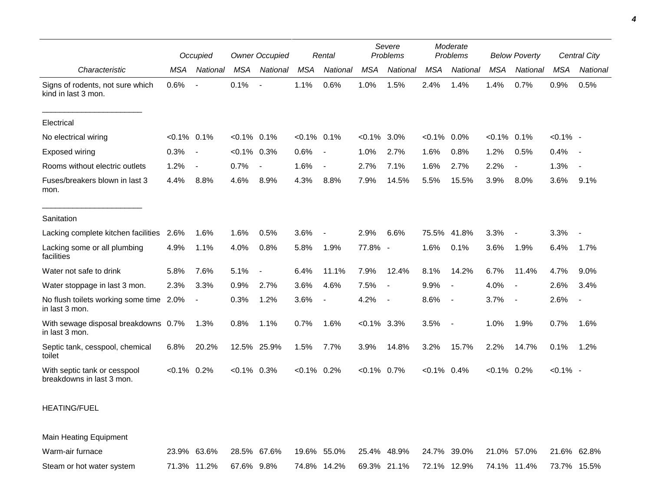|                                                           | Occupied       |                          | <b>Owner Occupied</b> |                          | Rental         |                          | Severe<br>Problems |                          | Moderate<br>Problems |                          | <b>Below Poverty</b> |                          | Central City |                |
|-----------------------------------------------------------|----------------|--------------------------|-----------------------|--------------------------|----------------|--------------------------|--------------------|--------------------------|----------------------|--------------------------|----------------------|--------------------------|--------------|----------------|
| Characteristic                                            | <b>MSA</b>     | National                 | <b>MSA</b>            | National                 | <b>MSA</b>     | National                 | <b>MSA</b>         | National                 | <b>MSA</b>           | National                 | <b>MSA</b>           | National                 | <b>MSA</b>   | National       |
| Signs of rodents, not sure which<br>kind in last 3 mon.   | 0.6%           | $\blacksquare$           | 0.1%                  | $\overline{\phantom{a}}$ | 1.1%           | 0.6%                     | 1.0%               | 1.5%                     | 2.4%                 | 1.4%                     | 1.4%                 | 0.7%                     | 0.9%         | 0.5%           |
| Electrical                                                |                |                          |                       |                          |                |                          |                    |                          |                      |                          |                      |                          |              |                |
| No electrical wiring                                      | $< 0.1\%$ 0.1% |                          | $< 0.1\%$ 0.1%        |                          | $< 0.1\%$ 0.1% |                          | $< 0.1\%$          | 3.0%                     | $< 0.1\%$            | $0.0\%$                  | $< 0.1\%$ 0.1%       |                          | $< 0.1\%$ -  |                |
| Exposed wiring                                            | 0.3%           | $\overline{\phantom{a}}$ | $< 0.1\%$ 0.3%        |                          | 0.6%           | $\overline{\phantom{a}}$ | 1.0%               | 2.7%                     | 1.6%                 | 0.8%                     | 1.2%                 | 0.5%                     | 0.4%         | $\sim$         |
| Rooms without electric outlets                            | 1.2%           | $\overline{\phantom{a}}$ | 0.7%                  | $\blacksquare$           | 1.6%           | $\overline{\phantom{a}}$ | 2.7%               | 7.1%                     | 1.6%                 | 2.7%                     | 2.2%                 | $\overline{\phantom{0}}$ | 1.3%         |                |
| Fuses/breakers blown in last 3<br>mon.                    | 4.4%           | 8.8%                     | 4.6%                  | 8.9%                     | 4.3%           | 8.8%                     | 7.9%               | 14.5%                    | 5.5%                 | 15.5%                    | 3.9%                 | 8.0%                     | 3.6%         | 9.1%           |
| Sanitation                                                |                |                          |                       |                          |                |                          |                    |                          |                      |                          |                      |                          |              |                |
| Lacking complete kitchen facilities                       | 2.6%           | 1.6%                     | 1.6%                  | 0.5%                     | 3.6%           | $\overline{\phantom{a}}$ | 2.9%               | 6.6%                     | 75.5%                | 41.8%                    | 3.3%                 | $\overline{\phantom{a}}$ | 3.3%         |                |
| Lacking some or all plumbing<br>facilities                | 4.9%           | 1.1%                     | 4.0%                  | 0.8%                     | 5.8%           | 1.9%                     | 77.8% -            |                          | 1.6%                 | 0.1%                     | 3.6%                 | 1.9%                     | 6.4%         | 1.7%           |
| Water not safe to drink                                   | 5.8%           | 7.6%                     | 5.1%                  |                          | 6.4%           | 11.1%                    | 7.9%               | 12.4%                    | 8.1%                 | 14.2%                    | 6.7%                 | 11.4%                    | 4.7%         | 9.0%           |
| Water stoppage in last 3 mon.                             | 2.3%           | 3.3%                     | 0.9%                  | 2.7%                     | 3.6%           | 4.6%                     | 7.5%               | $\overline{\phantom{a}}$ | 9.9%                 |                          | 4.0%                 | $\overline{\phantom{0}}$ | 2.6%         | 3.4%           |
| No flush toilets working some time 2.0%<br>in last 3 mon. |                | $\blacksquare$           | 0.3%                  | 1.2%                     | 3.6%           | $\overline{\phantom{a}}$ | 4.2%               | $\overline{\phantom{a}}$ | 8.6%                 | $\overline{\phantom{a}}$ | 3.7%                 | $\overline{\phantom{a}}$ | 2.6%         | $\blacksquare$ |
| With sewage disposal breakdowns 0.7%<br>in last 3 mon.    |                | 1.3%                     | 0.8%                  | 1.1%                     | 0.7%           | 1.6%                     | $< 0.1\%$ 3.3%     |                          | 3.5%                 | $\sim$                   | 1.0%                 | 1.9%                     | 0.7%         | 1.6%           |
| Septic tank, cesspool, chemical<br>toilet                 | 6.8%           | 20.2%                    |                       | 12.5% 25.9%              | 1.5%           | 7.7%                     | 3.9%               | 14.8%                    | 3.2%                 | 15.7%                    | 2.2%                 | 14.7%                    | 0.1%         | 1.2%           |
| With septic tank or cesspool<br>breakdowns in last 3 mon. | $< 0.1\%$ 0.2% |                          | $< 0.1\%$ 0.3%        |                          | $< 0.1\%$ 0.2% |                          | $< 0.1\%$          | 0.7%                     | $< 0.1\%$ 0.4%       |                          | $< 0.1\%$ 0.2%       |                          | $< 0.1\%$ -  |                |

## HEATING/FUEL

Main Heating Equipment

| Warm-air furnace          |                        | 23.9% 63.6% 28.5% 67.6% 19.6% 55.0% 25.4% 48.9% 24.7% 39.0% 21.0% 57.0% 21.6% 62.8% |  |  |                                                             |  |  |
|---------------------------|------------------------|-------------------------------------------------------------------------------------|--|--|-------------------------------------------------------------|--|--|
| Steam or hot water system | 71.3% 11.2% 67.6% 9.8% |                                                                                     |  |  | 74.8% 14.2% 69.3% 21.1% 72.1% 12.9% 74.1% 11.4% 73.7% 15.5% |  |  |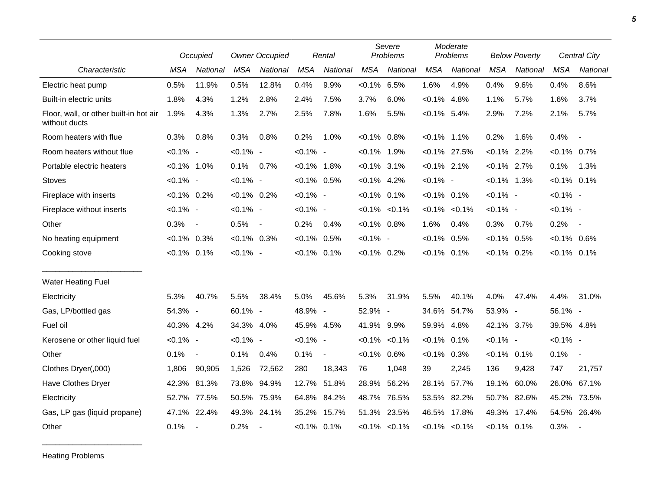|                                                         |                | Occupied                 | <b>Owner Occupied</b> |             | Rental         |                | Severe<br>Problems |                     | Moderate<br>Problems |                     | <b>Below Poverty</b> |             | Central City   |                          |
|---------------------------------------------------------|----------------|--------------------------|-----------------------|-------------|----------------|----------------|--------------------|---------------------|----------------------|---------------------|----------------------|-------------|----------------|--------------------------|
| Characteristic                                          | <b>MSA</b>     | <b>National</b>          | <b>MSA</b>            | National    | <b>MSA</b>     | National       | <b>MSA</b>         | National            | <b>MSA</b>           | National            | <b>MSA</b>           | National    | <b>MSA</b>     | <b>National</b>          |
| Electric heat pump                                      | 0.5%           | 11.9%                    | 0.5%                  | 12.8%       | 0.4%           | 9.9%           | $< 0.1\%$ 6.5%     |                     | 1.6%                 | 4.9%                | 0.4%                 | 9.6%        | 0.4%           | 8.6%                     |
| Built-in electric units                                 | 1.8%           | 4.3%                     | 1.2%                  | 2.8%        | 2.4%           | 7.5%           | 3.7%               | 6.0%                | $< 0.1\%$            | 4.8%                | 1.1%                 | 5.7%        | 1.6%           | 3.7%                     |
| Floor, wall, or other built-in hot air<br>without ducts | 1.9%           | 4.3%                     | 1.3%                  | 2.7%        | 2.5%           | 7.8%           | 1.6%               | 5.5%                | $< 0.1\%$ 5.4%       |                     | 2.9%                 | 7.2%        | 2.1%           | 5.7%                     |
| Room heaters with flue                                  | 0.3%           | 0.8%                     | 0.3%                  | 0.8%        | 0.2%           | 1.0%           | $< 0.1\%$ 0.8%     |                     | $< 0.1\%$ 1.1%       |                     | 0.2%                 | 1.6%        | 0.4%           | $\sim$                   |
| Room heaters without flue                               | $< 0.1\%$ -    |                          | $< 0.1\%$ -           |             | $< 0.1\%$ -    |                | $< 0.1\%$ 1.9%     |                     |                      | $< 0.1\%$ 27.5%     | $< 0.1\%$ 2.2%       |             | $< 0.1\%$ 0.7% |                          |
| Portable electric heaters                               | $< 0.1\%$ 1.0% |                          | 0.1%                  | 0.7%        | $< 0.1\%$ 1.8% |                | $< 0.1\%$ 3.1%     |                     | $< 0.1\%$ 2.1%       |                     | $< 0.1\%$ 2.7%       |             | 0.1%           | 1.3%                     |
| <b>Stoves</b>                                           | $< 0.1\%$ -    |                          | $< 0.1\%$ -           |             | $< 0.1\%$ 0.5% |                | $< 0.1\%$ 4.2%     |                     | $< 0.1\%$ -          |                     | $< 0.1\%$ 1.3%       |             | $< 0.1\%$ 0.1% |                          |
| Fireplace with inserts                                  | $< 0.1\%$ 0.2% |                          | $< 0.1\%$ 0.2%        |             | $< 0.1\%$ -    |                | $< 0.1\%$ 0.1%     |                     | $< 0.1\%$ 0.1%       |                     | $< 0.1\%$ -          |             | $< 0.1\%$ -    |                          |
| Fireplace without inserts                               | $< 0.1\%$ -    |                          | $< 0.1\%$ -           |             | $< 0.1\%$ -    |                |                    | $< 0.1\%$ $< 0.1\%$ |                      | $< 0.1\%$ $< 0.1\%$ | $< 0.1\%$ -          |             | $< 0.1\%$ -    |                          |
| Other                                                   | 0.3%           | $\overline{\phantom{a}}$ | 0.5%                  | $\sim$      | 0.2%           | 0.4%           | $< 0.1\%$ 0.8%     |                     | 1.6%                 | 0.4%                | 0.3%                 | 0.7%        | 0.2%           | $\sim$                   |
| No heating equipment                                    | $< 0.1\%$ 0.3% |                          | $< 0.1\%$ 0.3%        |             | $< 0.1\%$ 0.5% |                | $< 0.1\%$ -        |                     | $< 0.1\%$            | 0.5%                | $< 0.1\%$ 0.5%       |             | $< 0.1\%$ 0.6% |                          |
| Cooking stove                                           | $< 0.1\%$ 0.1% |                          | $< 0.1\%$ -           |             | $< 0.1\%$ 0.1% |                | $< 0.1\%$ 0.2%     |                     | $< 0.1\%$ 0.1%       |                     | $< 0.1\%$ 0.2%       |             | $< 0.1\%$ 0.1% |                          |
| <b>Water Heating Fuel</b>                               |                |                          |                       |             |                |                |                    |                     |                      |                     |                      |             |                |                          |
| Electricity                                             | 5.3%           | 40.7%                    | 5.5%                  | 38.4%       | 5.0%           | 45.6%          | 5.3%               | 31.9%               | 5.5%                 | 40.1%               | 4.0%                 | 47.4%       | 4.4%           | 31.0%                    |
| Gas, LP/bottled gas                                     | 54.3% -        |                          | 60.1% -               |             | 48.9% -        |                | 52.9% -            |                     |                      | 34.6% 54.7%         | 53.9% -              |             | 56.1% -        |                          |
| Fuel oil                                                | 40.3% 4.2%     |                          | 34.3% 4.0%            |             | 45.9% 4.5%     |                | 41.9% 9.9%         |                     | 59.9% 4.8%           |                     | 42.1% 3.7%           |             | 39.5% 4.8%     |                          |
| Kerosene or other liquid fuel                           | $< 0.1\%$ -    |                          | $< 0.1\%$ -           |             | $< 0.1\%$ -    |                |                    | $< 0.1\%$ $< 0.1\%$ | $< 0.1\%$            | 0.1%                | $< 0.1\%$ -          |             | $< 0.1\%$ -    |                          |
| Other                                                   | 0.1%           | $\sim$                   | 0.1%                  | 0.4%        | 0.1%           | $\blacksquare$ | $< 0.1\%$ 0.6%     |                     | $< 0.1\%$            | 0.3%                | $< 0.1\%$ 0.1%       |             | 0.1%           | $\overline{\phantom{a}}$ |
| Clothes Dryer(,000)                                     | 1,806          | 90,905                   | 1,526                 | 72,562      | 280            | 18,343         | 76                 | 1,048               | 39                   | 2,245               | 136                  | 9,428       | 747            | 21,757                   |
| Have Clothes Dryer                                      |                | 42.3% 81.3%              | 73.8% 94.9%           |             |                | 12.7% 51.8%    | 28.9%              | 56.2%               | 28.1%                | 57.7%               |                      | 19.1% 60.0% |                | 26.0% 67.1%              |
| Electricity                                             | 52.7%          | 77.5%                    | 50.5%                 | 75.9%       |                | 64.8% 84.2%    | 48.7%              | 76.5%               | 53.5%                | 82.2%               | 50.7% 82.6%          |             | 45.2%          | 73.5%                    |
| Gas, LP gas (liquid propane)                            | 47.1%          | 22.4%                    |                       | 49.3% 24.1% |                | 35.2% 15.7%    | 51.3%              | 23.5%               |                      | 46.5% 17.8%         | 49.3%                | 17.4%       |                | 54.5% 26.4%              |
| Other                                                   | 0.1%           | $\overline{\phantom{a}}$ | 0.2%                  |             | $< 0.1\%$ 0.1% |                |                    | $< 0.1\%$ $< 0.1\%$ |                      | $< 0.1\%$ $< 0.1\%$ | $< 0.1\%$ 0.1%       |             | 0.3%           | $\overline{\phantom{a}}$ |

Heating Problems

\_\_\_\_\_\_\_\_\_\_\_\_\_\_\_\_\_\_\_\_\_\_\_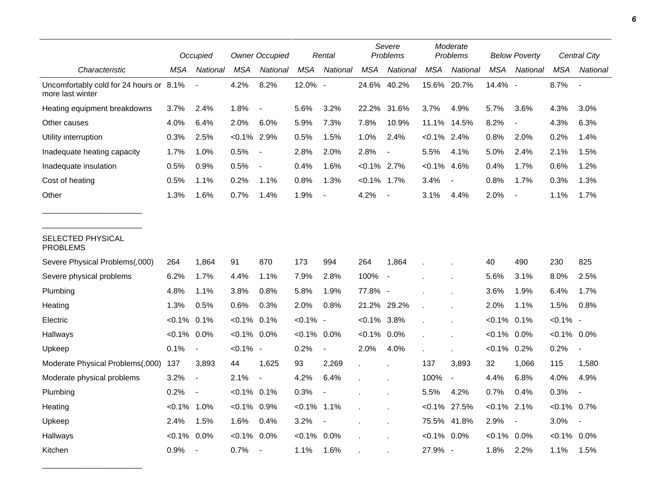|                                                             |                | Occupied                 |                | <b>Owner Occupied</b>    |             | Rental                   |                | Severe<br>Problems       |                | Moderate<br>Problems     |                | <b>Below Poverty</b>     |                | <b>Central City</b> |
|-------------------------------------------------------------|----------------|--------------------------|----------------|--------------------------|-------------|--------------------------|----------------|--------------------------|----------------|--------------------------|----------------|--------------------------|----------------|---------------------|
| Characteristic                                              | MSA            | National                 | <b>MSA</b>     | National                 | <b>MSA</b>  | National                 | <b>MSA</b>     | National                 | <b>MSA</b>     | National                 | <b>MSA</b>     | National                 | <b>MSA</b>     | National            |
| Uncomfortably cold for 24 hours or 8.1%<br>more last winter |                |                          | 4.2%           | 8.2%                     | 12.0% -     |                          | 24.6%          | 40.2%                    |                | 15.6% 20.7%              | 14.4% -        |                          | 8.7%           |                     |
| Heating equipment breakdowns                                | 3.7%           | 2.4%                     | 1.8%           | $\overline{\phantom{a}}$ | 5.6%        | 3.2%                     | 22.2%          | 31.6%                    | 3.7%           | 4.9%                     | 5.7%           | 3.6%                     | 4.3%           | 3.0%                |
| Other causes                                                | 4.0%           | 6.4%                     | 2.0%           | 6.0%                     | 5.9%        | 7.3%                     | 7.8%           | 10.9%                    | 11.1%          | 14.5%                    | 8.2%           |                          | 4.3%           | 6.3%                |
| Utility interruption                                        | 0.3%           | 2.5%                     | $< 0.1\%$ 2.9% |                          | 0.5%        | 1.5%                     | 1.0%           | 2.4%                     | $< 0.1\%$ 2.4% |                          | 0.8%           | 2.0%                     | 0.2%           | 1.4%                |
| Inadequate heating capacity                                 | 1.7%           | 1.0%                     | 0.5%           |                          | 2.8%        | 2.0%                     | 2.8%           |                          | 5.5%           | 4.1%                     | 5.0%           | 2.4%                     | 2.1%           | 1.5%                |
| Inadequate insulation                                       | 0.5%           | 0.9%                     | 0.5%           | $\overline{\phantom{a}}$ | 0.4%        | 1.6%                     | $< 0.1\%$ 2.7% |                          | $< 0.1\%$      | 4.6%                     | 0.4%           | 1.7%                     | 0.6%           | 1.2%                |
| Cost of heating                                             | 0.5%           | 1.1%                     | 0.2%           | 1.1%                     | 0.8%        | 1.3%                     | $< 0.1\%$ 1.7% |                          | 3.4%           |                          | 0.8%           | 1.7%                     | 0.3%           | 1.3%                |
| Other                                                       | 1.3%           | 1.6%                     | 0.7%           | 1.4%                     | 1.9%        | $\overline{\phantom{a}}$ | 4.2%           |                          | 3.1%           | 4.4%                     | 2.0%           | $\overline{\phantom{a}}$ | 1.1%           | 1.7%                |
| SELECTED PHYSICAL<br><b>PROBLEMS</b>                        |                |                          |                |                          |             |                          |                |                          |                |                          |                |                          |                |                     |
| Severe Physical Problems(,000)                              | 264            | 1,864                    | 91             | 870                      | 173         | 994                      | 264            | 1,864                    |                |                          | 40             | 490                      | 230            | 825                 |
| Severe physical problems                                    | 6.2%           | 1.7%                     | 4.4%           | 1.1%                     | 7.9%        | 2.8%                     | 100%           | $\overline{\phantom{a}}$ |                |                          | 5.6%           | 3.1%                     | 8.0%           | 2.5%                |
| Plumbing                                                    | 4.8%           | 1.1%                     | 3.8%           | 0.8%                     | 5.8%        | 1.9%                     | 77.8% -        |                          |                |                          | 3.6%           | 1.9%                     | 6.4%           | 1.7%                |
| Heating                                                     | 1.3%           | 0.5%                     | 0.6%           | 0.3%                     | 2.0%        | 0.8%                     | 21.2%          | 29.2%                    |                |                          | 2.0%           | 1.1%                     | 1.5%           | 0.8%                |
| Electric                                                    | $< 0.1\%$ 0.1% |                          | $< 0.1\%$      | 0.1%                     | $< 0.1\%$ - |                          | $< 0.1\%$ 3.8% |                          |                |                          | $< 0.1\%$      | 0.1%                     | $< 0.1\%$ -    |                     |
| Hallways                                                    | $< 0.1\%$ 0.0% |                          | $< 0.1\%$      | $0.0\%$                  | $<0.1\%$    | 0.0%                     | $< 0.1\%$ 0.0% |                          |                |                          | $< 0.1\%$      | $0.0\%$                  | $< 0.1\%$ 0.0% |                     |
| Upkeep                                                      | 0.1%           | $\blacksquare$           | $< 0.1\%$ -    |                          | 0.2%        | $\overline{\phantom{a}}$ | 2.0%           | 4.0%                     |                |                          | $< 0.1\%$      | 0.2%                     | 0.2%           |                     |
| Moderate Physical Problems(,000)                            | 137            | 3,893                    | 44             | 1,625                    | 93          | 2,269                    |                |                          | 137            | 3,893                    | 32             | 1,066                    | 115            | 1,580               |
| Moderate physical problems                                  | 3.2%           | $\overline{\phantom{a}}$ | 2.1%           | $\blacksquare$           | 4.2%        | 6.4%                     |                |                          | 100%           | $\blacksquare$           | 4.4%           | 6.8%                     | 4.0%           | 4.9%                |
| Plumbing                                                    | 0.2%           | $\overline{a}$           | $< 0.1\%$ 0.1% |                          | 0.3%        |                          |                |                          | 5.5%           | 4.2%                     | 0.7%           | 0.4%                     | 0.3%           |                     |
| Heating                                                     | $< 0.1\%$      | 1.0%                     | $< 0.1\%$ 0.9% |                          | $< 0.1\%$   | 1.1%                     |                |                          |                | $< 0.1\%$ 27.5%          | $< 0.1\%$ 2.1% |                          | $< 0.1\%$      | 0.7%                |
| Upkeep                                                      | 2.4%           | 1.5%                     | 1.6%           | 0.4%                     | 3.2%        | $\overline{\phantom{a}}$ |                |                          | 75.5%          | 41.8%                    | 2.9%           | $\overline{\phantom{a}}$ | 3.0%           | $\blacksquare$      |
| Hallways                                                    | $<0.1\%$       | 0.0%                     | $< 0.1\%$      | 0.0%                     | $< 0.1\%$   | 0.0%                     |                |                          | $< 0.1\%$ 0.0% |                          | <0.1%          | $0.0\%$                  | $< 0.1\%$ 0.0% |                     |
| Kitchen                                                     | 0.9%           | $\overline{\phantom{a}}$ | 0.7%           |                          | 1.1%        | 1.6%                     |                |                          | 27.9%          | $\overline{\phantom{a}}$ | 1.8%           | 2.2%                     | 1.1%           | 1.5%                |

\_\_\_\_\_\_\_\_\_\_\_\_\_\_\_\_\_\_\_\_\_\_\_